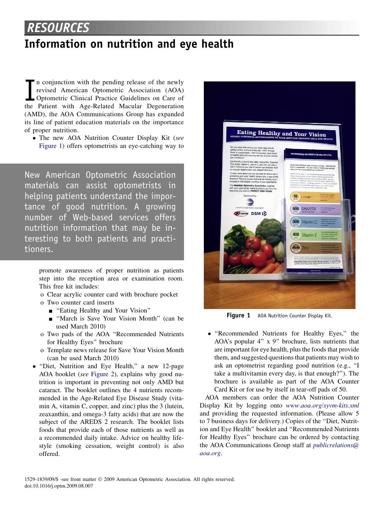## RESOURCES

## Information on nutrition and eye health

 $\prod_{\scriptscriptstyle{\text{the}}}$ n conjunction with the pending release of the newly revised American Optometric Association (AOA) Optometric Clinical Practice Guidelines on Care of the Patient with Age-Related Macular Degeneration (AMD), the AOA Communications Group has expanded its line of patient education materials on the importance of proper nutrition.

• The new AOA Nutrition Counter Display Kit (see Figure 1) offers optometrists an eye-catching way to

New American Optometric Association materials can assist optometrists in helping patients understand the importance of good nutrition. A growing number of Web-based services offers nutrition information that may be interesting to both patients and practitioners.

promote awareness of proper nutrition as patients step into the reception area or examination room. This free kit includes:

- o Clear acrylic counter card with brochure pocket
- o Two counter card inserts
	- "Eating Healthy and Your Vision"
	- "March is Save Your Vision Month" (can be used March 2010)
- o Two pads of the AOA ''Recommended Nutrients for Healthy Eyes'' brochure
- o Template news release for Save Your Vision Month (can be used March 2010)
- ''Diet, Nutrition and Eye Health,'' a new 12-page AOA booklet (see [Figure 2](#page-1-0)), explains why good nutrition is important in preventing not only AMD but cataract. The booklet outlines the 4 nutrients recommended in the Age-Related Eye Disease Study (vitamin A, vitamin C, copper, and zinc) plus the 3 (lutein, zeaxanthin, and omega-3 fatty acids) that are now the subject of the AREDS 2 research. The booklet lists foods that provide each of those nutrients as well as a recommended daily intake. Advice on healthy lifestyle (smoking cessation, weight control) is also offered.



Figure 1 AOA Nutrition Counter Display Kit.

- ''Recommended Nutrients for Healthy Eyes,'' the AOA's popular 4'' x 9'' brochure, lists nutrients that are important for eye health, plus the foods that provide them, and suggested questions that patients may wish to ask an optometrist regarding good nutrition (e.g., ''I take a multivitamin every day, is that enough?''). The brochure is available as part of the AOA Counter Card Kit or for use by itself in tear-off pads of 50.

AOA members can order the AOA Nutrition Counter Display Kit by logging onto [www.aoa.org/syvm-kits.xml](http://www.aoa.org/syvm-kits.xml) and providing the requested information. (Please allow 5 to 7 business days for delivery.) Copies of the ''Diet, Nutrition and Eye Health'' booklet and ''Recommended Nutrients for Healthy Eyes'' brochure can be ordered by contacting the AOA Communications Group staff at *[publicrelations@](mailto:publicrelations@aoa.org)* [aoa.org](mailto:publicrelations@aoa.org).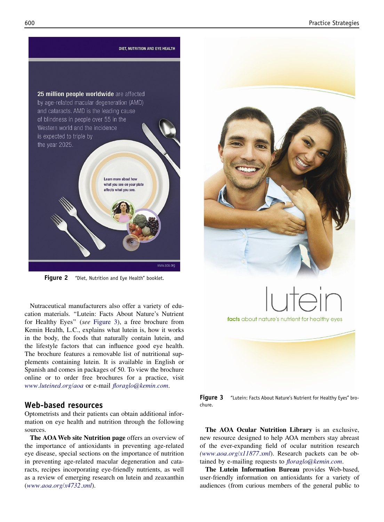<span id="page-1-0"></span>

Figure 2 "Diet, Nutrition and Eye Health" booklet.

Nutraceutical manufacturers also offer a variety of education materials. ''Lutein: Facts About Nature's Nutrient for Healthy Eyes'' (see Figure 3), a free brochure from Kemin Health, L.C., explains what lutein is, how it works in the body, the foods that naturally contain lutein, and the lifestyle factors that can influence good eye health. The brochure features a removable list of nutritional supplements containing lutein. It is available in English or Spanish and comes in packages of 50. To view the brochure online or to order free brochures for a practice, visit [www.luteined.org/aoa](http://www.luteined.org/aoa) or e-mail [floraglo@kemin.com](mailto:floraglo@kemin.com).

## Web-based resources

Optometrists and their patients can obtain additional information on eye health and nutrition through the following sources.

The AOA Web site Nutrition page offers an overview of the importance of antioxidants in preventing age-related eye disease, special sections on the importance of nutrition in preventing age-related macular degeneration and cataracts, recipes incorporating eye-friendly nutrients, as well as a review of emerging research on lutein and zeaxanthin ([www.aoa.org/x4732.xml](http://www.aoa.org/x4732.xml)).



Figure 3 "Lutein: Facts About Nature's Nutrient for Healthy Eyes" brochure.

The AOA Ocular Nutrition Library is an exclusive, new resource designed to help AOA members stay abreast of the ever-expanding field of ocular nutrition research [\(www.aoa.org/x11877.xml](http://www.aoa.org/x11877.xml)). Research packets can be obtained by e-mailing requests to *[floraglo@kemin.com](mailto:floraglo@kemin.com)*.

The Lutein Information Bureau provides Web-based, user-friendly information on antioxidants for a variety of audiences (from curious members of the general public to